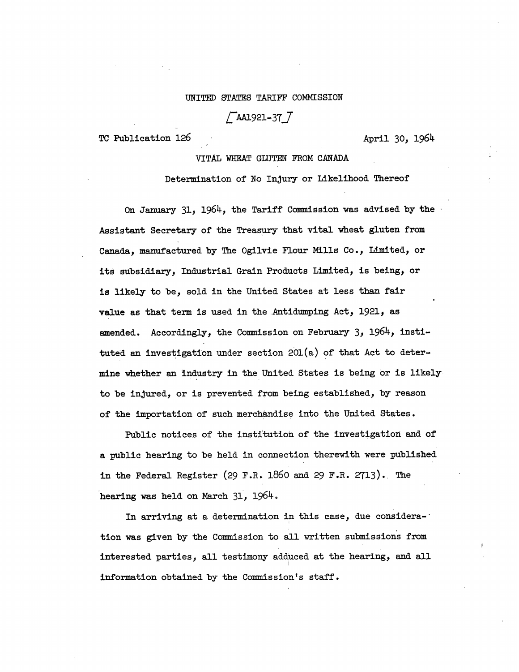## UNITED STATES TARIFF COMMISSION

 $T$ AA1921-37 $\overline{J}$ 

TC Publication 126 April 30, 1964

## VITAL WHEAT GLUTEN FROM CANADA

Determination of No Injury or Likelihood Thereof

On January 31, 1964, the Tariff Commission was advised by the Assistant Secretary of the Treasury that vital wheat gluten from Canada, manufactured by The Ogilvie Flour Mills Co., Limited, or its subsidiary, Industrial Grain Products Limited, is being, or is likely to be, sold in the United States at less than fair valve as that term is used in the. Antidumping Act, 1921, as amended. Accordingly, the Commission on February  $3$ ,  $1964$ , instituted an investigation under section 201(a) of that Act to determine whether an industry in the United States is being or is likely to be injured, or is prevented from being established, by reason of the importation of such merchandise into the United States.

Public notices of the institution of the investigation and of a public hearing to be held in connection therewith were published in the Federal Register (29 F.R. 1860 and 29 F.R. 2713). The hearing was held on March 31, 1964.

In arriving at a determination in this case, due considera-' tion was given by the Commission to all written submissions from interested parties, all testimony adduced at the hearing, and all information obtained by the Commission's staff.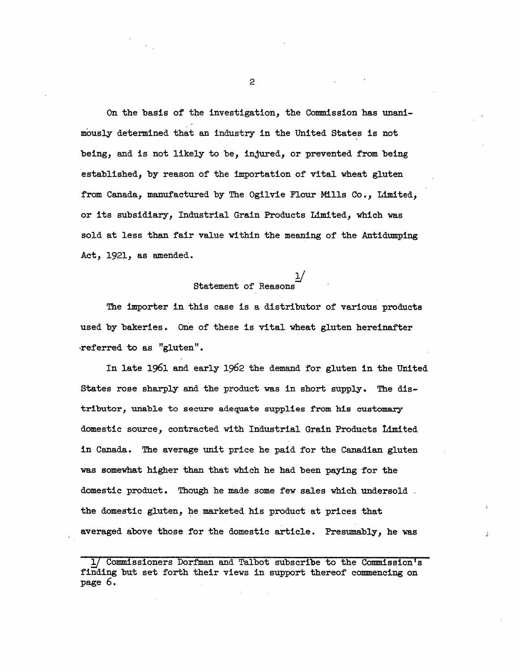On the basis of the investigation, the Commission has unanimously determined that an industry in the United States is not being, and is not likely to be, injured, or prevented from being established, by reason of the importation of vital wheat gluten from Canada, manufactured by The Ogilvie Flour Mills Co., Limited, or its subsidiary, Industrial Grain Products Limited, which was sold at less than fair value within the meaning of the Antidumping Act, 1921, as amended.

## $\Delta$ Statement of Reasons

The importer in this case is a distributor of various products used by bakeries. One of these is vital wheat gluten hereinafter -referred to as "gluten".

In late 1961 and early 1962 the demand for gluten in the United States rose sharply and the product was in short supply. The distributor, unable to secure adequate supplies from his customary domestic source, contracted with Industrial Grain Products Limited in Canada. The average unit price he paid for the Canadian gluten was somewhat higher than that which he had been paying for the domestic product. Though he made some few sales which undersold . the domestic gluten, he marketed his product at prices that averaged above those for the domestic article. Presumably, he was

<sup>1/</sup> Commissioners Dorfman and Talbot subscribe to the Commission's finding but set forth their views in support thereof commencing on page 6.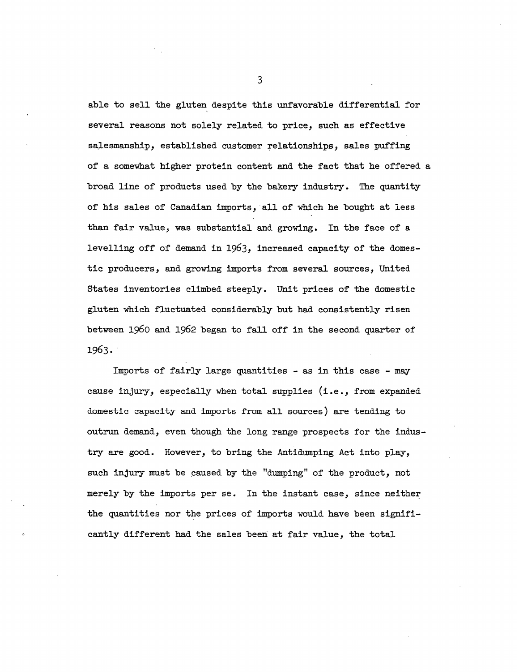able to sell the gluten despite this unfavorable differential for several reasons not solely related to price, such as effective salesmanship, established customer relationships, sales puffing of a somewhat higher protein content and the fact that he offered a broad line of products used by the bakery industry. The quantity of his sales of Canadian imports all of which he bought at less than fair value, was substantial and growing. In the face of a levelling off of demand in 1963, increased capacity of the domestic producers, and growing imports from several sources, United States inventories climbed steeply. Unit prices of the domestic gluten which fluctuated considerably but had consistently risen between 1960 and 1962 began to fall off in the second quarter of 1963.

Imports of fairly large quantities - as in this case - may cause injury, especially when total supplies (i.e., from expanded domestic capacity and imports from all sources) are tending to outrun demand, even though the long range prospects for the industry are good. However, to bring the Antidumping Act into play, such injury must be caused by the "dumping" of the product, not merely by the imports per se. In the instant case, since neither the quantities nor the prices of imports would have been significantly different had the sales been at fair value, the total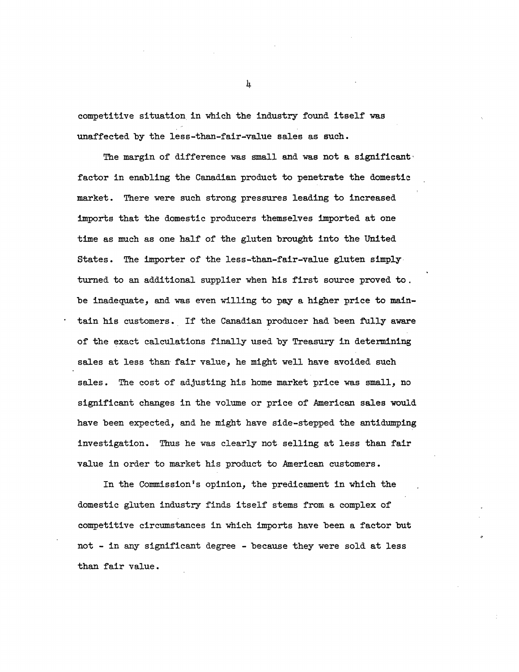competitive situation, in which the industry found itself was unaffected by the less-than-fair-value sales as such.

The margin of difference was small and was not a significant. factor in enabling the Canadian product to penetrate the domestic market. There were such strong pressures leading to increased imports that the domestic producers themselves imported at one time as much as one half of the gluten brought into the United States. The importer of the less-than-fair-value gluten simply turned to an additional supplier when his first source proved to. be inadequate, and was even willing to pay a higher price to main- • tain his customers. If the Canadian producer had been fully aware of the exact calculations finally used by Treasury in determining sales at less than fair value, he might well have avoided such sales. The cost of adjusting his home market price was small, no significant changes in the volume or price of American sales would have been expected, and he might have side-stepped the antidumping investigation. Thus he was clearly not. selling at less than fair value in order to market his product to American customers.

In the Commission's opinion, the predicament in which the domestic gluten industry finds itself stems from a complex of competitive circumstances in which imports have been a factor but not - in any significant degree - because they were sold at less than fair value.

 $\frac{1}{2}$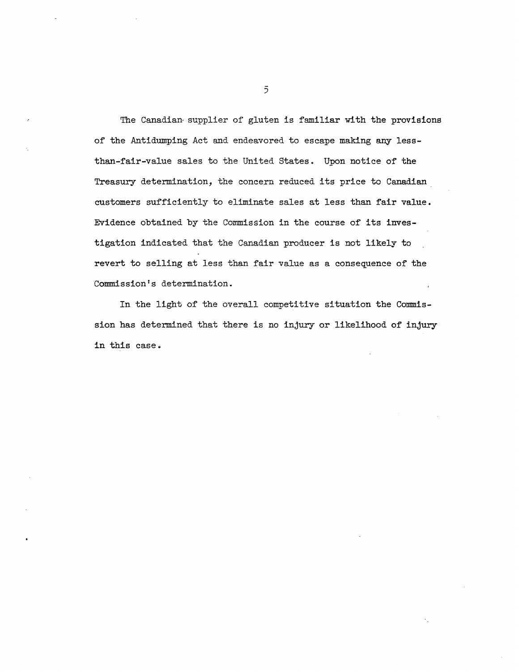The Canadian supplier of gluten is familiar with the provisions of the Antidumping Act and endeavored to escape making any lessthan-fair-value sales to the United States. Upon notice of the Treasury determination, the concern reduced its price to Canadian customers sufficiently to eliminate sales at less than fair value. Evidence obtained by the Commission in the course of its investigation indicated that the Canadian producer is not likely to revert to selling at less than fair value as a consequence of the Commission's determination.

In the light of the overall competitive situation the Commission has determined that there is no injury or likelihood of injury in this case.

 $\overline{5}$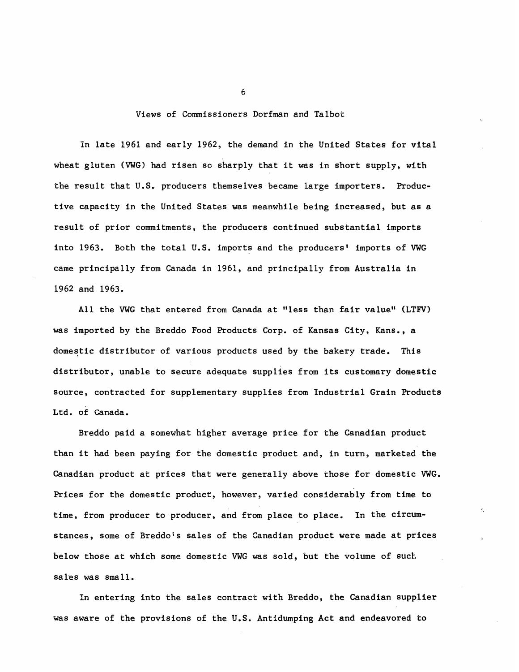Views of Commissioners Dorfman and Talbot

In late 1961 and early 1962, the demand in the United States for vital wheat gluten (VWG) had risen so sharply that it was in short supply, with the result that U.S. producers themselves became large importers. Productive capacity in the United States was meanwhile being increased, but as a result of prior commitments, the producers continued substantial imports into 1963. Both the total U.S. imports and the producers' imports of VWG came principally from Canada in 1961, and principally from Australia in 1962 and 1963.

All the VWG that entered from Canada at "less than fair value" (LTFV) was imported by the Breddo Food Products Corp. of Kansas City, Kans., a domestic distributor of various products used by the bakery trade. This distributor, unable to secure adequate supplies from its customary domestic source, contracted for supplementary supplies from Industrial Grain Products Ltd. of Canada.

Breddo paid a somewhat higher average price for the Canadian product than it had been paying for the domestic product and, in turn, marketed the Canadian product at prices that were generally above those for domestic VWG. Prices for the domestic product, however, varied considerably from time to time, from producer to producer, and from place to place. In the circumstances, some of Breddo's sales of the Canadian product were made at prices below those at which some domestic VWG was sold, but the volume of such sales was small.

In entering into the sales contract with Breddo, the Canadian supplier was aware of the provisions of the U.S. Antidumping Act and endeavored to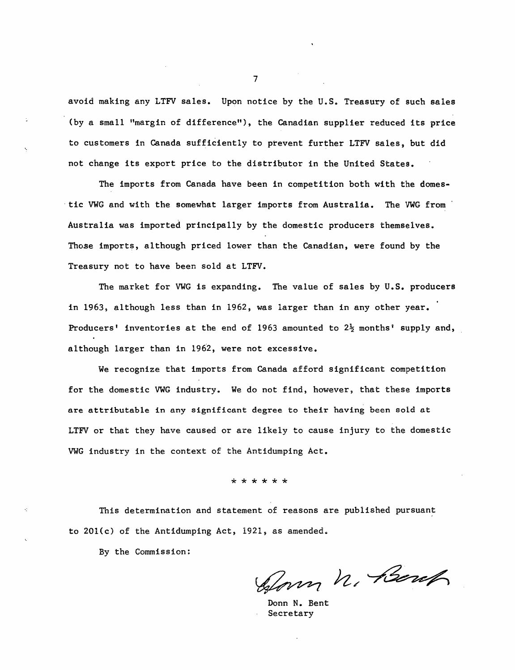avoid making any LTFV sales. Upon notice by the U.S. Treasury of such sales (by a small "margin of difference"), the Canadian supplier reduced its price to customers in Canada sufficiently to prevent further LTFV sales, but did not change its export price to the distributor in the United States.

The imports from Canada have been in competition both with the domestic VWG and with the somewhat larger imports from Australia. The VWG from ' Australia was imported principally by the domestic producers themselves. Those imports, although priced lower than the Canadian, were found by the Treasury not to have been sold at LTFV.

The market for VWG is expanding. The value of sales by U.S. producers in 1963, although less than in 1962, was larger than in any other year. Producers' inventories at the end of 1963 amounted to  $2\frac{1}{2}$  months' supply and, although larger than in 1962, were not excessive.

We recognize that imports from Canada afford significant competition for the domestic VWG industry. We do not find, however, that these imports are attributable in any significant degree to their having been sold at LTFV or that they have caused or are likely to cause injury to the domestic VWG industry in the context of the Antidumping Act.

\* \* \* \* \* \*

This determination and statement of reasons are published pursuant to 201(c) of the Antidumping Act, 1921, as amended.

By the Commission:

Glorn n. Bouch

Donn N. Bent Secretary